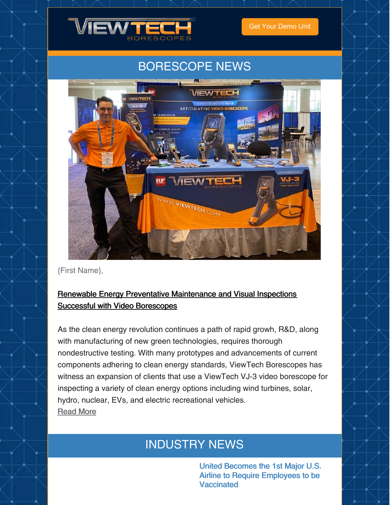

Get Your [Demo](https://www.viewtech.com/borescope-demo-offer/?utm_source=cc&utm_medium=email&utm_campaign=newsletter0821) Unit

## BORESCOPE NEWS



{First Name},

### Renewable Energy Preventative [Maintenance](https://www.viewtech.com/rental-inspection-video-borescopes/?utm_source=cc&utm_medium=email&utm_campaign=newsletter0821) and Visual Inspections Successful with Video Borescopes

As the clean energy revolution continues a path of rapid growh, R&D, along with manufacturing of new green technologies, requires thorough nondestructive testing. With many prototypes and advancements of current components adhering to clean energy standards, ViewTech Borescopes has witness an expansion of clients that use a ViewTech VJ-3 video borescope for inspecting a variety of clean energy options including wind turbines, solar, hydro, nuclear, EVs, and electric recreational vehicles. [Read](https://www.viewtech.com/renewable-energy-preventative-maintenance-visual-inspections/?utm_source=cc&utm_medium=email&utm_campaign=newsletter0821) More

## INDUSTRY NEWS

United Becomes the 1st Major U.S. Airline to Require Employees to be **Vaccinated**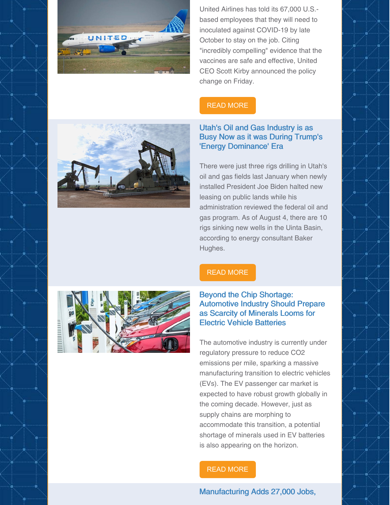

United Airlines has told its 67,000 U.S. based employees that they will need to inoculated against COVID-19 by late October to stay on the job. Citing "incredibly compelling" evidence that the vaccines are safe and effective, United CEO Scott Kirby announced the policy change on Friday.

### READ [MORE](https://www.npr.org/sections/coronavirus-live-updates/2021/08/06/1025439746/united-airlines-vaccine-mandate)



#### Utah's Oil and Gas Industry is as Busy Now as it was During Trump's 'Energy Dominance' Era

There were just three rigs drilling in Utah's oil and gas fields last January when newly installed President Joe Biden halted new leasing on public lands while his administration reviewed the federal oil and gas program. As of August 4, there are 10 rigs sinking new wells in the Uinta Basin, according to energy consultant Baker Hughes.



### READ [MORE](https://www.sltrib.com/news/environment/2021/08/04/utahs-oil-gas-industry-is/)

#### Beyond the Chip Shortage: Automotive Industry Should Prepare as Scarcity of Minerals Looms for Electric Vehicle Batteries

The automotive industry is currently under regulatory pressure to reduce CO2 emissions per mile, sparking a massive manufacturing transition to electric vehicles (EVs). The EV passenger car market is expected to have robust growth globally in the coming decade. However, just as supply chains are morphing to accommodate this transition, a potential shortage of minerals used in EV batteries is also appearing on the horizon.

#### READ [MORE](https://www.prnewswire.com/news-releases/beyond-the-chip-shortage-automotive-industry-should-prepare-as-scarcity-of-minerals-looms-for-electric-vehicle-batteries-301350160.html)

#### Manufacturing Adds 27,000 Jobs,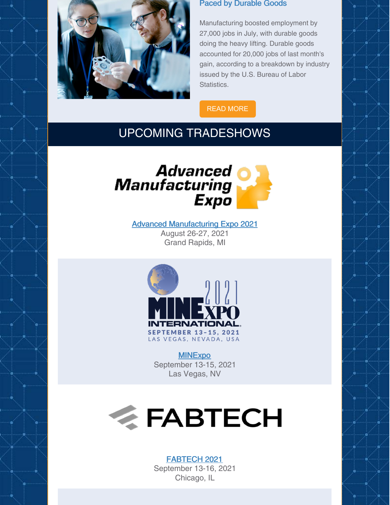

#### Paced by Durable Goods

Manufacturing boosted employment by 27,000 jobs in July, with durable goods doing the heavy lifting. Durable goods accounted for 20,000 jobs of last month's gain, according to a breakdown by industry issued by the U.S. Bureau of Labor Statistics.

READ [MORE](https://www.sme.org/technologies/articles/2021/august/manufacturing-adds-27000-jobs-paced-by-durable-goods/)

### UPCOMING TRADESHOWS



Advanced [Manufacturing](https://www.viewtech.com/about-us/tradeshows/advanced-manufacturing-expo-2021/?utm_source=cc&utm_medium=email&utm_campaign=newsletter0821) Expo 2021 August 26-27, 2021 Grand Rapids, MI



**[MINExpo](https://www.viewtech.com/about-us/tradeshows/minexpo-international-2021/?utm_source=cc&utm_medium=email&utm_campaign=newsletter0821)** September 13-15, 2021 Las Vegas, NV



### [FABTECH](https://www.viewtech.com/about-us/tradeshows/fabtech-2021/?utm_source=cc&utm_medium=email&utm_campaign=newsletter0821) 2021

September 13-16, 2021 Chicago, IL